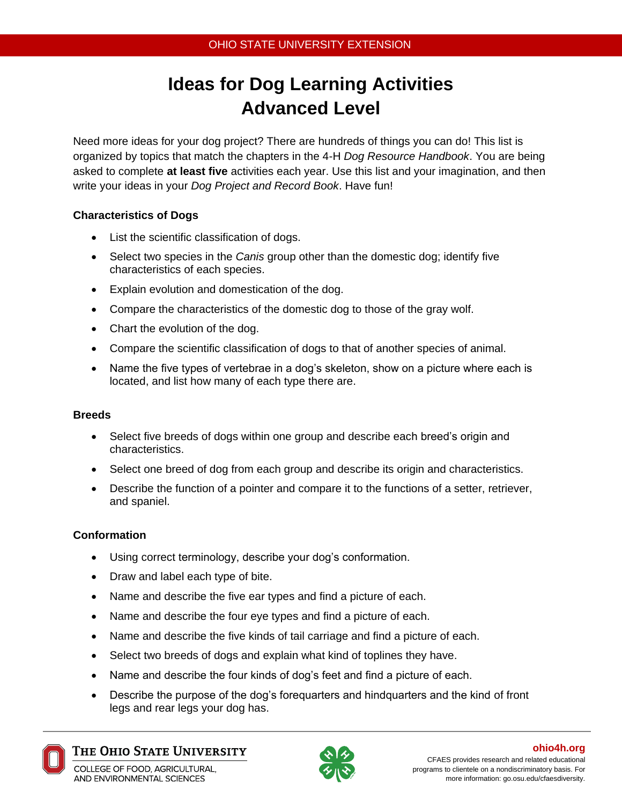# **Ideas for Dog Learning Activities Advanced Level**

Need more ideas for your dog project? There are hundreds of things you can do! This list is organized by topics that match the chapters in the 4-H *Dog Resource Handbook*. You are being asked to complete **at least five** activities each year. Use this list and your imagination, and then write your ideas in your *Dog Project and Record Book*. Have fun!

# **Characteristics of Dogs**

- List the scientific classification of dogs.
- Select two species in the *Canis* group other than the domestic dog; identify five characteristics of each species.
- Explain evolution and domestication of the dog.
- Compare the characteristics of the domestic dog to those of the gray wolf.
- Chart the evolution of the dog.
- Compare the scientific classification of dogs to that of another species of animal.
- Name the five types of vertebrae in a dog's skeleton, show on a picture where each is located, and list how many of each type there are.

## **Breeds**

- Select five breeds of dogs within one group and describe each breed's origin and characteristics.
- Select one breed of dog from each group and describe its origin and characteristics.
- Describe the function of a pointer and compare it to the functions of a setter, retriever, and spaniel.

## **Conformation**

- Using correct terminology, describe your dog's conformation.
- Draw and label each type of bite.
- Name and describe the five ear types and find a picture of each.
- Name and describe the four eye types and find a picture of each.
- Name and describe the five kinds of tail carriage and find a picture of each.
- Select two breeds of dogs and explain what kind of toplines they have.
- Name and describe the four kinds of dog's feet and find a picture of each.
- Describe the purpose of the dog's forequarters and hindquarters and the kind of front legs and rear legs your dog has.



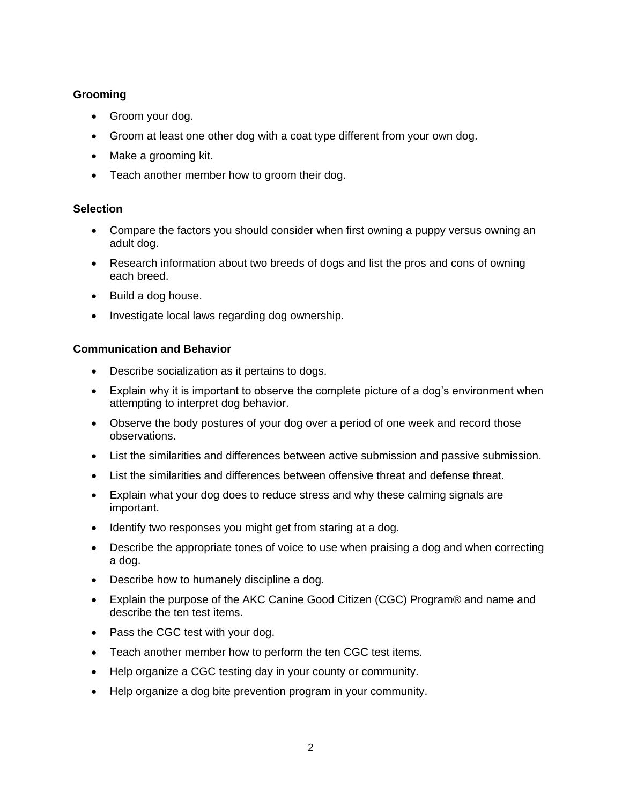# **Grooming**

- Groom your dog.
- Groom at least one other dog with a coat type different from your own dog.
- Make a grooming kit.
- Teach another member how to groom their dog.

# **Selection**

- Compare the factors you should consider when first owning a puppy versus owning an adult dog.
- Research information about two breeds of dogs and list the pros and cons of owning each breed.
- Build a dog house.
- Investigate local laws regarding dog ownership.

#### **Communication and Behavior**

- Describe socialization as it pertains to dogs.
- Explain why it is important to observe the complete picture of a dog's environment when attempting to interpret dog behavior.
- Observe the body postures of your dog over a period of one week and record those observations.
- List the similarities and differences between active submission and passive submission.
- List the similarities and differences between offensive threat and defense threat.
- Explain what your dog does to reduce stress and why these calming signals are important.
- Identify two responses you might get from staring at a dog.
- Describe the appropriate tones of voice to use when praising a dog and when correcting a dog.
- Describe how to humanely discipline a dog.
- Explain the purpose of the AKC Canine Good Citizen (CGC) Program® and name and describe the ten test items.
- Pass the CGC test with your dog.
- Teach another member how to perform the ten CGC test items.
- Help organize a CGC testing day in your county or community.
- Help organize a dog bite prevention program in your community.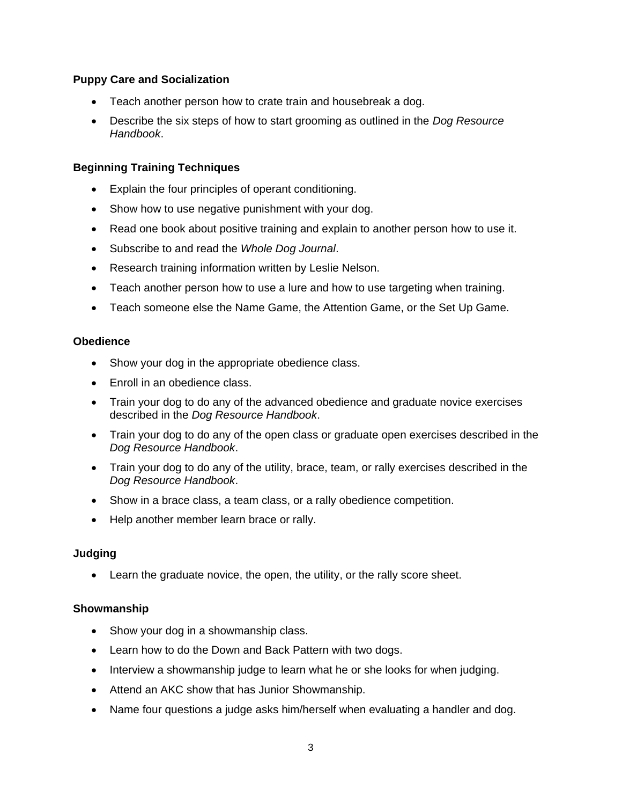# **Puppy Care and Socialization**

- Teach another person how to crate train and housebreak a dog.
- Describe the six steps of how to start grooming as outlined in the *Dog Resource Handbook*.

# **Beginning Training Techniques**

- Explain the four principles of operant conditioning.
- Show how to use negative punishment with your dog.
- Read one book about positive training and explain to another person how to use it.
- Subscribe to and read the *Whole Dog Journal*.
- Research training information written by Leslie Nelson.
- Teach another person how to use a lure and how to use targeting when training.
- Teach someone else the Name Game, the Attention Game, or the Set Up Game.

## **Obedience**

- Show your dog in the appropriate obedience class.
- Enroll in an obedience class.
- Train your dog to do any of the advanced obedience and graduate novice exercises described in the *Dog Resource Handbook*.
- Train your dog to do any of the open class or graduate open exercises described in the *Dog Resource Handbook*.
- Train your dog to do any of the utility, brace, team, or rally exercises described in the *Dog Resource Handbook*.
- Show in a brace class, a team class, or a rally obedience competition.
- Help another member learn brace or rally.

## **Judging**

Learn the graduate novice, the open, the utility, or the rally score sheet.

## **Showmanship**

- Show your dog in a showmanship class.
- Learn how to do the Down and Back Pattern with two dogs.
- Interview a showmanship judge to learn what he or she looks for when judging.
- Attend an AKC show that has Junior Showmanship.
- Name four questions a judge asks him/herself when evaluating a handler and dog.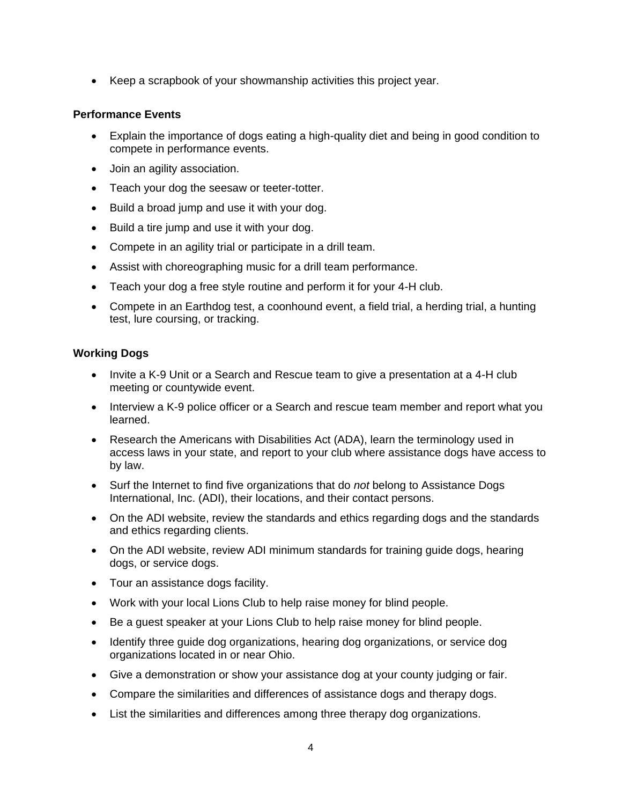Keep a scrapbook of your showmanship activities this project year.

#### **Performance Events**

- Explain the importance of dogs eating a high-quality diet and being in good condition to compete in performance events.
- Join an agility association.
- Teach your dog the seesaw or teeter-totter.
- Build a broad jump and use it with your dog.
- Build a tire jump and use it with your dog.
- Compete in an agility trial or participate in a drill team.
- Assist with choreographing music for a drill team performance.
- Teach your dog a free style routine and perform it for your 4-H club.
- Compete in an Earthdog test, a coonhound event, a field trial, a herding trial, a hunting test, lure coursing, or tracking.

#### **Working Dogs**

- Invite a K-9 Unit or a Search and Rescue team to give a presentation at a 4-H club meeting or countywide event.
- Interview a K-9 police officer or a Search and rescue team member and report what you learned.
- Research the Americans with Disabilities Act (ADA), learn the terminology used in access laws in your state, and report to your club where assistance dogs have access to by law.
- Surf the Internet to find five organizations that do *not* belong to Assistance Dogs International, Inc. (ADI), their locations, and their contact persons.
- On the ADI website, review the standards and ethics regarding dogs and the standards and ethics regarding clients.
- On the ADI website, review ADI minimum standards for training guide dogs, hearing dogs, or service dogs.
- Tour an assistance dogs facility.
- Work with your local Lions Club to help raise money for blind people.
- Be a guest speaker at your Lions Club to help raise money for blind people.
- Identify three guide dog organizations, hearing dog organizations, or service dog organizations located in or near Ohio.
- Give a demonstration or show your assistance dog at your county judging or fair.
- Compare the similarities and differences of assistance dogs and therapy dogs.
- List the similarities and differences among three therapy dog organizations.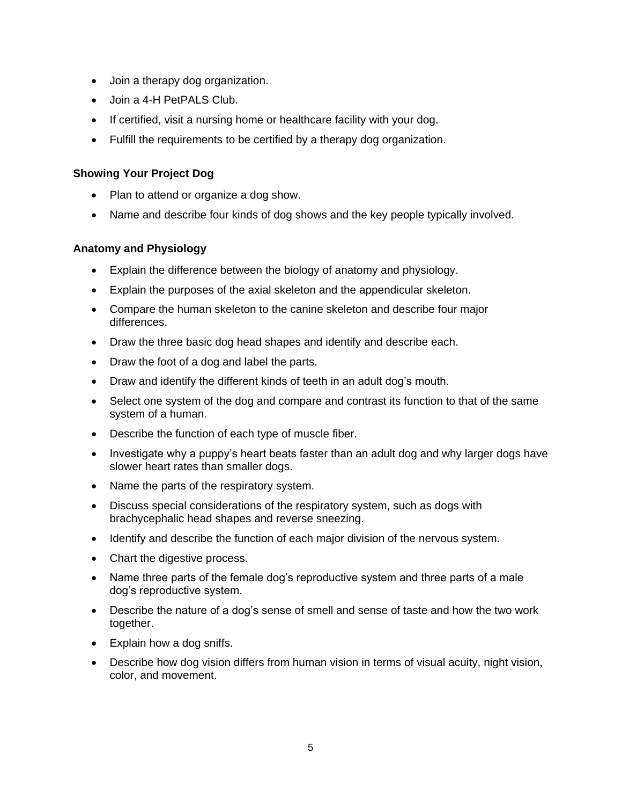- Join a therapy dog organization.
- Join a 4-H PetPALS Club.
- If certified, visit a nursing home or healthcare facility with your dog.
- Fulfill the requirements to be certified by a therapy dog organization.

## **Showing Your Project Dog**

- Plan to attend or organize a dog show.
- Name and describe four kinds of dog shows and the key people typically involved.

#### **Anatomy and Physiology**

- Explain the difference between the biology of anatomy and physiology.
- Explain the purposes of the axial skeleton and the appendicular skeleton.
- Compare the human skeleton to the canine skeleton and describe four major differences.
- Draw the three basic dog head shapes and identify and describe each.
- Draw the foot of a dog and label the parts.
- Draw and identify the different kinds of teeth in an adult dog's mouth.
- Select one system of the dog and compare and contrast its function to that of the same system of a human.
- Describe the function of each type of muscle fiber.
- Investigate why a puppy's heart beats faster than an adult dog and why larger dogs have slower heart rates than smaller dogs.
- Name the parts of the respiratory system.
- Discuss special considerations of the respiratory system, such as dogs with brachycephalic head shapes and reverse sneezing.
- Identify and describe the function of each major division of the nervous system.
- Chart the digestive process.
- Name three parts of the female dog's reproductive system and three parts of a male dog's reproductive system.
- Describe the nature of a dog's sense of smell and sense of taste and how the two work together.
- Explain how a dog sniffs.
- Describe how dog vision differs from human vision in terms of visual acuity, night vision, color, and movement.